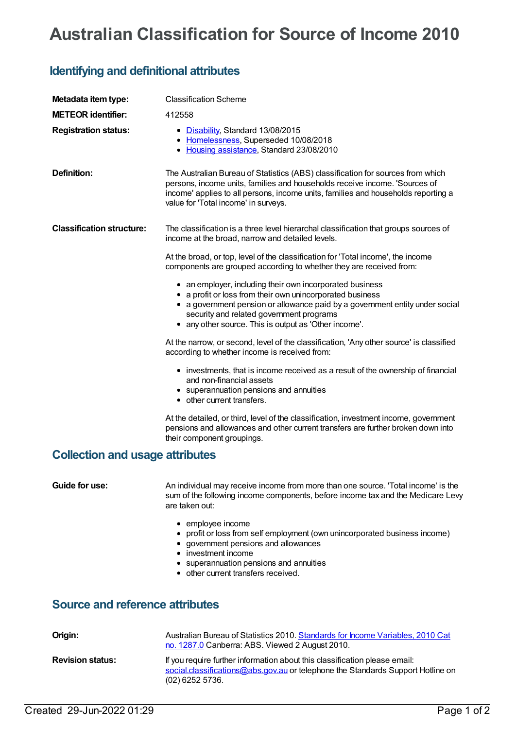## **Australian Classification for Source of Income 2010**

## **Identifying and definitional attributes**

| Metadata item type:<br><b>METEOR</b> identifier:<br><b>Registration status:</b> | <b>Classification Scheme</b><br>412558<br>• Disability, Standard 13/08/2015<br>• Homelessness, Superseded 10/08/2018<br>• Housing assistance, Standard 23/08/2010                                                                                                                                                                                                                                                                                                                                                                                                                                                                                                                                                                                                                                                                                                                                                                                                                                                                                                                                                                   |  |
|---------------------------------------------------------------------------------|-------------------------------------------------------------------------------------------------------------------------------------------------------------------------------------------------------------------------------------------------------------------------------------------------------------------------------------------------------------------------------------------------------------------------------------------------------------------------------------------------------------------------------------------------------------------------------------------------------------------------------------------------------------------------------------------------------------------------------------------------------------------------------------------------------------------------------------------------------------------------------------------------------------------------------------------------------------------------------------------------------------------------------------------------------------------------------------------------------------------------------------|--|
| <b>Definition:</b>                                                              | The Australian Bureau of Statistics (ABS) classification for sources from which<br>persons, income units, families and households receive income. 'Sources of<br>income' applies to all persons, income units, families and households reporting a<br>value for 'Total income' in surveys.                                                                                                                                                                                                                                                                                                                                                                                                                                                                                                                                                                                                                                                                                                                                                                                                                                          |  |
| <b>Classification structure:</b>                                                | The classification is a three level hierarchal classification that groups sources of<br>income at the broad, narrow and detailed levels.<br>At the broad, or top, level of the classification for 'Total income', the income<br>components are grouped according to whether they are received from:<br>• an employer, including their own incorporated business<br>• a profit or loss from their own unincorporated business<br>• a government pension or allowance paid by a government entity under social<br>security and related government programs<br>• any other source. This is output as 'Other income'.<br>At the narrow, or second, level of the classification, 'Any other source' is classified<br>according to whether income is received from:<br>• investments, that is income received as a result of the ownership of financial<br>and non-financial assets<br>• superannuation pensions and annuities<br>• other current transfers.<br>At the detailed, or third, level of the classification, investment income, government<br>pensions and allowances and other current transfers are further broken down into |  |
| <b>Collection and usage attributes</b>                                          | their component groupings.                                                                                                                                                                                                                                                                                                                                                                                                                                                                                                                                                                                                                                                                                                                                                                                                                                                                                                                                                                                                                                                                                                          |  |
|                                                                                 |                                                                                                                                                                                                                                                                                                                                                                                                                                                                                                                                                                                                                                                                                                                                                                                                                                                                                                                                                                                                                                                                                                                                     |  |
| Guide for use:                                                                  | An individual may receive income from more than one source. 'Total income' is the<br>sum of the following income components, before income tax and the Medicare Levy<br>are taken out:<br>• employee income<br>• profit or loss from self employment (own unincorporated business income)<br>• government pensions and allowances<br>• investment income<br>• superannuation pensions and annuities<br>• other current transfers received.                                                                                                                                                                                                                                                                                                                                                                                                                                                                                                                                                                                                                                                                                          |  |
| <b>Source and reference attributes</b>                                          |                                                                                                                                                                                                                                                                                                                                                                                                                                                                                                                                                                                                                                                                                                                                                                                                                                                                                                                                                                                                                                                                                                                                     |  |

| Origin:                 | Australian Bureau of Statistics 2010. Standards for Income Variables, 2010 Cat<br>no. 1287.0 Canberra: ABS. Viewed 2 August 2010.                                                  |
|-------------------------|------------------------------------------------------------------------------------------------------------------------------------------------------------------------------------|
| <b>Revision status:</b> | If you require further information about this classification please email:<br>social.classifications@abs.gov.au or telephone the Standards Support Hotline on<br>$(02)$ 6252 5736. |